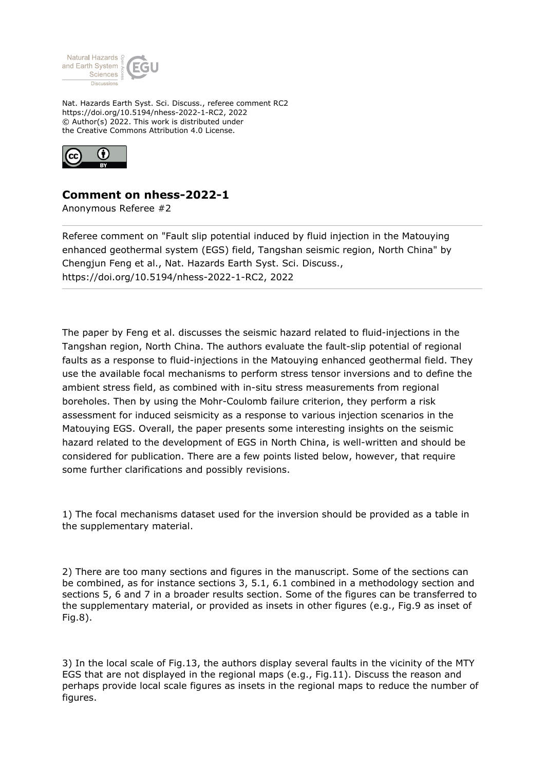

Nat. Hazards Earth Syst. Sci. Discuss., referee comment RC2 https://doi.org/10.5194/nhess-2022-1-RC2, 2022 © Author(s) 2022. This work is distributed under the Creative Commons Attribution 4.0 License.



## **Comment on nhess-2022-1**

Anonymous Referee #2

Referee comment on "Fault slip potential induced by fluid injection in the Matouying enhanced geothermal system (EGS) field, Tangshan seismic region, North China" by Chengjun Feng et al., Nat. Hazards Earth Syst. Sci. Discuss., https://doi.org/10.5194/nhess-2022-1-RC2, 2022

The paper by Feng et al. discusses the seismic hazard related to fluid-injections in the Tangshan region, North China. The authors evaluate the fault-slip potential of regional faults as a response to fluid-injections in the Matouying enhanced geothermal field. They use the available focal mechanisms to perform stress tensor inversions and to define the ambient stress field, as combined with in-situ stress measurements from regional boreholes. Then by using the Mohr-Coulomb failure criterion, they perform a risk assessment for induced seismicity as a response to various injection scenarios in the Matouying EGS. Overall, the paper presents some interesting insights on the seismic hazard related to the development of EGS in North China, is well-written and should be considered for publication. There are a few points listed below, however, that require some further clarifications and possibly revisions.

1) The focal mechanisms dataset used for the inversion should be provided as a table in the supplementary material.

2) There are too many sections and figures in the manuscript. Some of the sections can be combined, as for instance sections 3, 5.1, 6.1 combined in a methodology section and sections 5, 6 and 7 in a broader results section. Some of the figures can be transferred to the supplementary material, or provided as insets in other figures (e.g., Fig.9 as inset of Fig.8).

3) In the local scale of Fig.13, the authors display several faults in the vicinity of the MTY EGS that are not displayed in the regional maps (e.g., Fig.11). Discuss the reason and perhaps provide local scale figures as insets in the regional maps to reduce the number of figures.